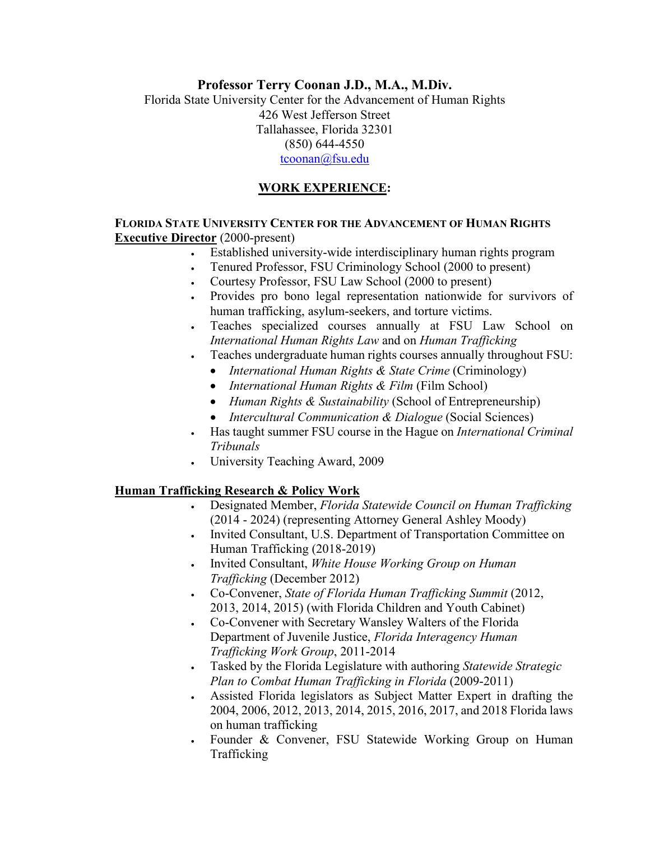## **Professor Terry Coonan J.D., M.A., M.Div.**

Florida State University Center for the Advancement of Human Rights 426 West Jefferson Street Tallahassee, Florida 32301 (850) 644-4550 [tcoonan@fsu.edu](mailto:tcoonan@fsu.edu)

### **WORK EXPERIENCE:**

#### **FLORIDA STATE UNIVERSITY CENTER FOR THE ADVANCEMENT OF HUMAN RIGHTS Executive Director** (2000-present)

- Established university-wide interdisciplinary human rights program
- Tenured Professor, FSU Criminology School (2000 to present)
- Courtesy Professor, FSU Law School (2000 to present)
- Provides pro bono legal representation nationwide for survivors of human trafficking, asylum-seekers, and torture victims.
- Teaches specialized courses annually at FSU Law School on *International Human Rights Law* and on *Human Trafficking*
- Teaches undergraduate human rights courses annually throughout FSU:
	- *International Human Rights & State Crime (Criminology)*
	- *International Human Rights & Film* (Film School)
	- *Human Rights & Sustainability* (School of Entrepreneurship)
	- *Intercultural Communication & Dialogue* (Social Sciences)
- Has taught summer FSU course in the Hague on *International Criminal Tribunals*
- University Teaching Award, 2009

## **Human Trafficking Research & Policy Work**

- Designated Member, *Florida Statewide Council on Human Trafficking*  (2014 - 2024) (representing Attorney General Ashley Moody)
- Invited Consultant, U.S. Department of Transportation Committee on Human Trafficking (2018-2019)
- Invited Consultant, *White House Working Group on Human Trafficking* (December 2012)
- Co-Convener, *State of Florida Human Trafficking Summit* (2012, 2013, 2014, 2015) (with Florida Children and Youth Cabinet)
- Co-Convener with Secretary Wansley Walters of the Florida Department of Juvenile Justice, *Florida Interagency Human Trafficking Work Group*, 2011-2014
- Tasked by the Florida Legislature with authoring *Statewide Strategic Plan to Combat Human Trafficking in Florida* (2009-2011)
- Assisted Florida legislators as Subject Matter Expert in drafting the 2004, 2006, 2012, 2013, 2014, 2015, 2016, 2017, and 2018 Florida laws on human trafficking
- Founder & Convener, FSU Statewide Working Group on Human Trafficking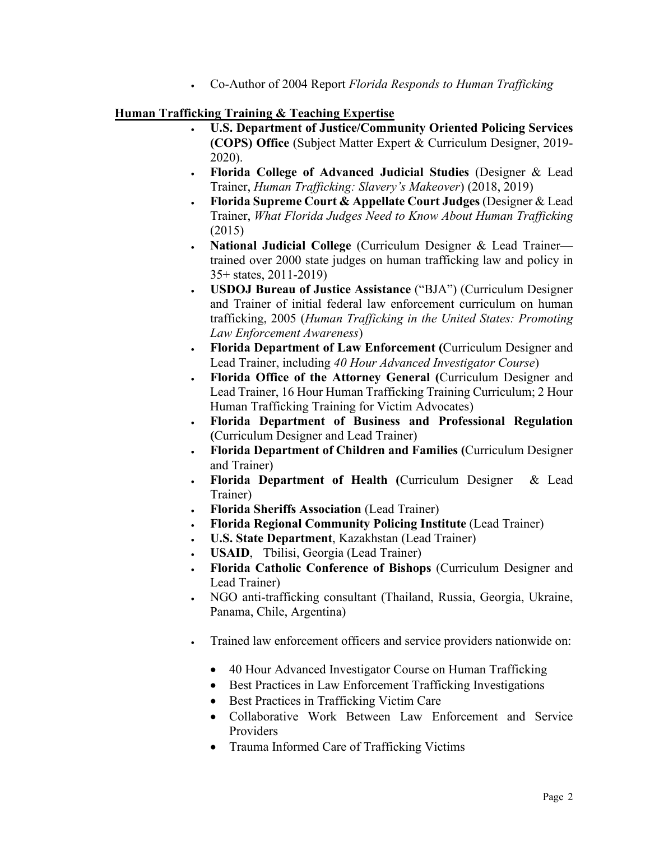• Co-Author of 2004 Report *Florida Responds to Human Trafficking*

## **Human Trafficking Training & Teaching Expertise**

- **U.S. Department of Justice/Community Oriented Policing Services (COPS) Office** (Subject Matter Expert & Curriculum Designer, 2019- 2020).
- **Florida College of Advanced Judicial Studies** (Designer & Lead Trainer, *Human Trafficking: Slavery's Makeover*) (2018, 2019)
- **Florida Supreme Court & Appellate Court Judges** (Designer & Lead Trainer, *What Florida Judges Need to Know About Human Trafficking* (2015)
- **National Judicial College** (Curriculum Designer & Lead Trainer trained over 2000 state judges on human trafficking law and policy in 35+ states, 2011-2019)
- **USDOJ Bureau of Justice Assistance** ("BJA") (Curriculum Designer and Trainer of initial federal law enforcement curriculum on human trafficking, 2005 (*Human Trafficking in the United States: Promoting Law Enforcement Awareness*)
- **Florida Department of Law Enforcement (**Curriculum Designer and Lead Trainer, including *40 Hour Advanced Investigator Course*)
- **Florida Office of the Attorney General (**Curriculum Designer and Lead Trainer, 16 Hour Human Trafficking Training Curriculum; 2 Hour Human Trafficking Training for Victim Advocates)
- **Florida Department of Business and Professional Regulation (**Curriculum Designer and Lead Trainer)
- **Florida Department of Children and Families (**Curriculum Designer and Trainer)
- **Florida Department of Health (**Curriculum Designer & Lead Trainer)
- **Florida Sheriffs Association** (Lead Trainer)
- **Florida Regional Community Policing Institute** (Lead Trainer)
- **U.S. State Department**, Kazakhstan (Lead Trainer)
- **USAID**, Tbilisi, Georgia (Lead Trainer)
- **Florida Catholic Conference of Bishops** (Curriculum Designer and Lead Trainer)
- NGO anti-trafficking consultant (Thailand, Russia, Georgia, Ukraine, Panama, Chile, Argentina)
- Trained law enforcement officers and service providers nationwide on:
	- 40 Hour Advanced Investigator Course on Human Trafficking
	- Best Practices in Law Enforcement Trafficking Investigations
	- Best Practices in Trafficking Victim Care
	- Collaborative Work Between Law Enforcement and Service Providers
	- Trauma Informed Care of Trafficking Victims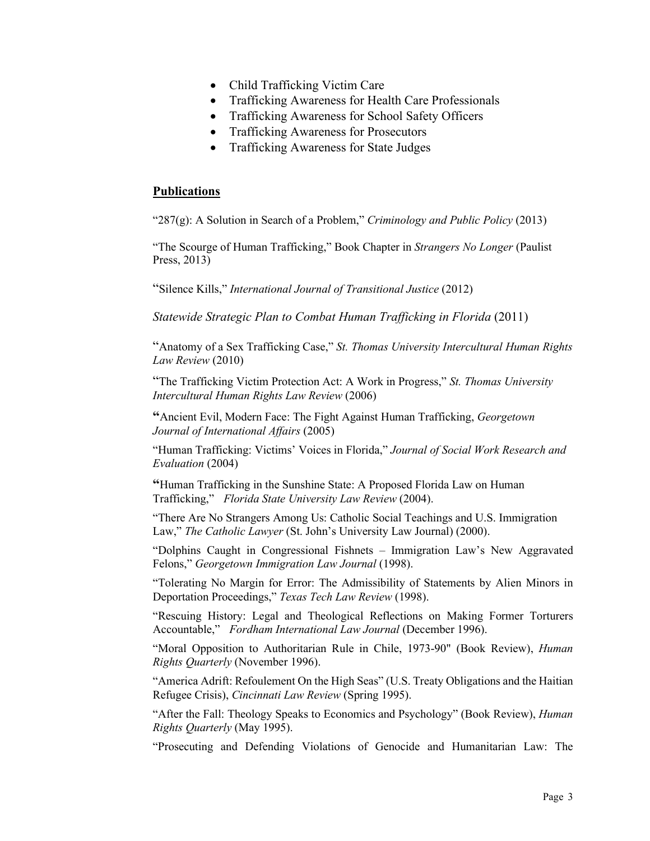- Child Trafficking Victim Care
- Trafficking Awareness for Health Care Professionals
- Trafficking Awareness for School Safety Officers
- Trafficking Awareness for Prosecutors
- Trafficking Awareness for State Judges

#### **Publications**

"287(g): A Solution in Search of a Problem," *Criminology and Public Policy* (2013)

"The Scourge of Human Trafficking," Book Chapter in *Strangers No Longer* (Paulist Press, 2013)

"Silence Kills," *International Journal of Transitional Justice* (2012)

*Statewide Strategic Plan to Combat Human Trafficking in Florida* (2011)

"Anatomy of a Sex Trafficking Case," *St. Thomas University Intercultural Human Rights Law Review* (2010)

"The Trafficking Victim Protection Act: A Work in Progress," *St. Thomas University Intercultural Human Rights Law Review* (2006)

**"**Ancient Evil, Modern Face: The Fight Against Human Trafficking, *Georgetown Journal of International Affairs* (2005)

"Human Trafficking: Victims' Voices in Florida," *Journal of Social Work Research and Evaluation* (2004)

**"**Human Trafficking in the Sunshine State: A Proposed Florida Law on Human Trafficking," *Florida State University Law Review* (2004).

"There Are No Strangers Among Us: Catholic Social Teachings and U.S. Immigration Law," *The Catholic Lawyer* (St. John's University Law Journal) (2000).

"Dolphins Caught in Congressional Fishnets – Immigration Law's New Aggravated Felons," *Georgetown Immigration Law Journal* (1998).

"Tolerating No Margin for Error: The Admissibility of Statements by Alien Minors in Deportation Proceedings," *Texas Tech Law Review* (1998).

"Rescuing History: Legal and Theological Reflections on Making Former Torturers Accountable," *Fordham International Law Journal* (December 1996).

"Moral Opposition to Authoritarian Rule in Chile, 1973-90" (Book Review), *Human Rights Quarterly* (November 1996).

"America Adrift: Refoulement On the High Seas" (U.S. Treaty Obligations and the Haitian Refugee Crisis), *Cincinnati Law Review* (Spring 1995).

"After the Fall: Theology Speaks to Economics and Psychology" (Book Review), *Human Rights Quarterly* (May 1995).

"Prosecuting and Defending Violations of Genocide and Humanitarian Law: The